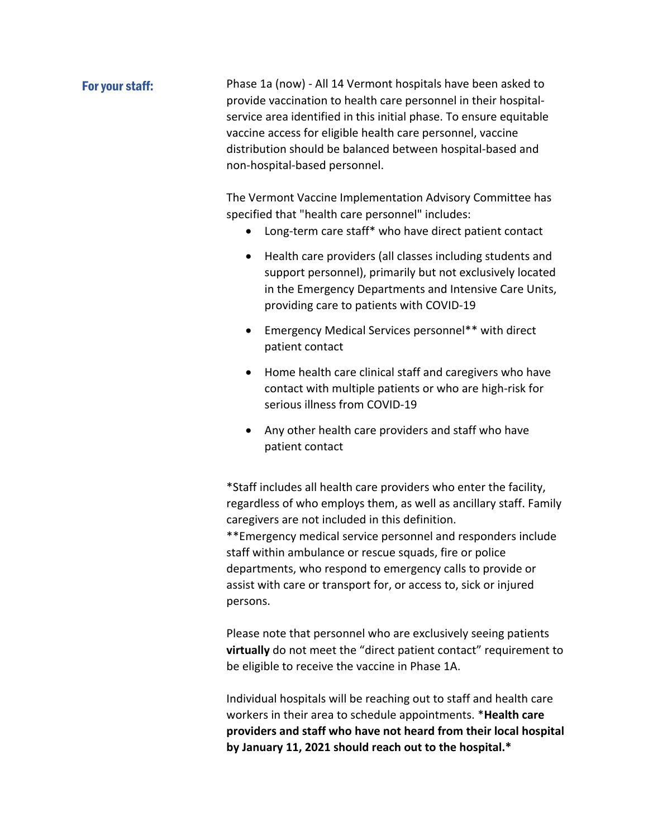## For your staff: Phase 1a (now) - All 14 Vermont hospitals have been asked to provide vaccination to health care personnel in their hospitalservice area identified in this initial phase. To ensure equitable vaccine access for eligible health care personnel, vaccine distribution should be balanced between hospital-based and non-hospital-based personnel.

The Vermont Vaccine Implementation Advisory Committee has specified that "health care personnel" includes:

- Long-term care staff\* who have direct patient contact
- Health care providers (all classes including students and support personnel), primarily but not exclusively located in the Emergency Departments and Intensive Care Units, providing care to patients with COVID-19
- Emergency Medical Services personnel\*\* with direct patient contact
- Home health care clinical staff and caregivers who have contact with multiple patients or who are high-risk for serious illness from COVID-19
- Any other health care providers and staff who have patient contact

\*Staff includes all health care providers who enter the facility, regardless of who employs them, as well as ancillary staff. Family caregivers are not included in this definition. \*\*Emergency medical service personnel and responders include staff within ambulance or rescue squads, fire or police departments, who respond to emergency calls to provide or assist with care or transport for, or access to, sick or injured persons.

Please note that personnel who are exclusively seeing patients **virtually** do not meet the "direct patient contact" requirement to be eligible to receive the vaccine in Phase 1A.

Individual hospitals will be reaching out to staff and health care workers in their area to schedule appointments. \***Health care providers and staff who have not heard from their local hospital by January 11, 2021 should reach out to the hospital.\***